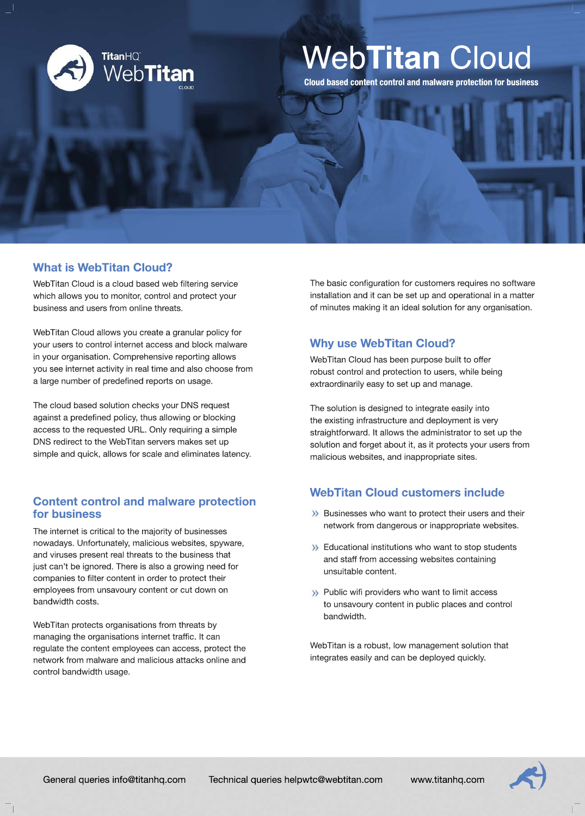

# Web**Titan** Cloud

**Cloud based content control and malware protection for business**

## **What is WebTitan Cloud?**

WebTitan Cloud is a cloud based web filtering service which allows you to monitor, control and protect your business and users from online threats.

WebTitan Cloud allows you create a granular policy for your users to control internet access and block malware in your organisation. Comprehensive reporting allows you see internet activity in real time and also choose from a large number of predefined reports on usage.

The cloud based solution checks your DNS request against a predefined policy, thus allowing or blocking access to the requested URL. Only requiring a simple DNS redirect to the WebTitan servers makes set up simple and quick, allows for scale and eliminates latency.

## **Content control and malware protection for business**

The internet is critical to the majority of businesses nowadays. Unfortunately, malicious websites, spyware, and viruses present real threats to the business that just can't be ignored. There is also a growing need for companies to filter content in order to protect their employees from unsavoury content or cut down on bandwidth costs.

WebTitan protects organisations from threats by managing the organisations internet traffic. It can regulate the content employees can access, protect the network from malware and malicious attacks online and control bandwidth usage.

The basic configuration for customers requires no software installation and it can be set up and operational in a matter of minutes making it an ideal solution for any organisation.

## **Why use WebTitan Cloud?**

WebTitan Cloud has been purpose built to offer robust control and protection to users, while being extraordinarily easy to set up and manage.

The solution is designed to integrate easily into the existing infrastructure and deployment is very straightforward. It allows the administrator to set up the solution and forget about it, as it protects your users from malicious websites, and inappropriate sites.

## **WebTitan Cloud customers include**

- **>>** Businesses who want to protect their users and their network from dangerous or inappropriate websites.
- $\rightarrow$  Educational institutions who want to stop students and staff from accessing websites containing unsuitable content.
- >>>>>>> Public wifi providers who want to limit access to unsavoury content in public places and control bandwidth.

WebTitan is a robust, low management solution that integrates easily and can be deployed quickly.

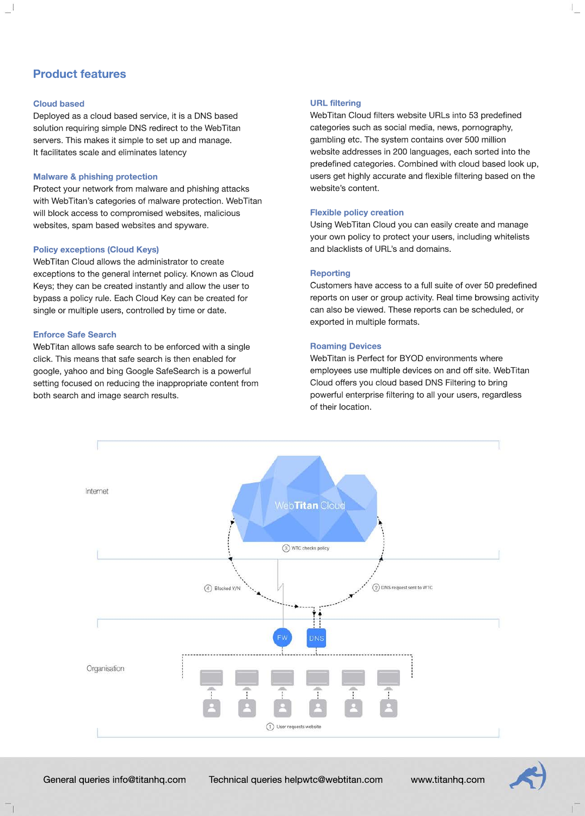## **Product features**

#### **Cloud based**

Deployed as a cloud based service, it is a DNS based solution requiring simple DNS redirect to the WebTitan servers. This makes it simple to set up and manage. It facilitates scale and eliminates latency

#### **Malware & phishing protection**

Protect your network from malware and phishing attacks with WebTitan's categories of malware protection. WebTitan will block access to compromised websites, malicious websites, spam based websites and spyware.

#### **Policy exceptions (Cloud Keys)**

WebTitan Cloud allows the administrator to create exceptions to the general internet policy. Known as Cloud Keys; they can be created instantly and allow the user to bypass a policy rule. Each Cloud Key can be created for single or multiple users, controlled by time or date.

#### **Enforce Safe Search**

WebTitan allows safe search to be enforced with a single click. This means that safe search is then enabled for google, yahoo and bing Google SafeSearch is a powerful setting focused on reducing the inappropriate content from both search and image search results.

#### **URL filtering**

WebTitan Cloud filters website URLs into 53 predefined categories such as social media, news, pornography, gambling etc. The system contains over 500 million website addresses in 200 languages, each sorted into the predefined categories. Combined with cloud based look up, users get highly accurate and flexible filtering based on the website's content.

#### **Flexible policy creation**

Using WebTitan Cloud you can easily create and manage your own policy to protect your users, including whitelists and blacklists of URL's and domains.

#### **Reporting**

Customers have access to a full suite of over 50 predefined reports on user or group activity. Real time browsing activity can also be viewed. These reports can be scheduled, or exported in multiple formats.

#### **Roaming Devices**

WebTitan is Perfect for BYOD environments where employees use multiple devices on and off site. WebTitan Cloud offers you cloud based DNS Filtering to bring powerful enterprise filtering to all your users, regardless of their location.



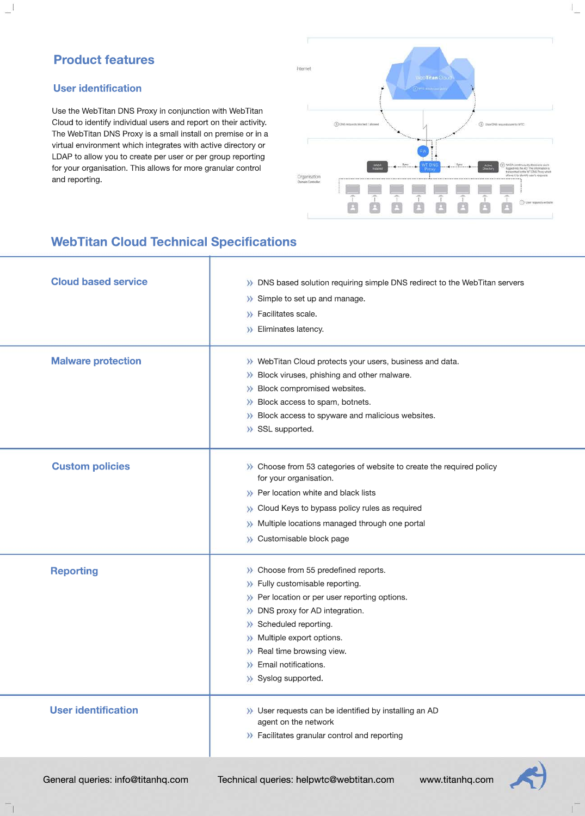## **Product features**

### **User identification**

Use the WebTitan DNS Proxy in conjunction with WebTitan Cloud to identify individual users and report on their activity. The WebTitan DNS Proxy is a small install on premise or in a virtual environment which integrates with active directory or LDAP to allow you to create per user or per group reporting for your organisation. This allows for more granular control and reporting.



## **WebTitan Cloud Technical Specifications**

| <b>Cloud based service</b> | >>>>>> DNS based solution requiring simple DNS redirect to the WebTitan servers                                             |
|----------------------------|-----------------------------------------------------------------------------------------------------------------------------|
|                            | >> Simple to set up and manage.                                                                                             |
|                            | >> Facilitates scale.                                                                                                       |
|                            | >> Eliminates latency.                                                                                                      |
|                            |                                                                                                                             |
| <b>Malware protection</b>  | >> WebTitan Cloud protects your users, business and data.                                                                   |
|                            | >> Block viruses, phishing and other malware.                                                                               |
|                            | >> Block compromised websites.                                                                                              |
|                            | >> Block access to spam, botnets.                                                                                           |
|                            | >> Block access to spyware and malicious websites.                                                                          |
|                            | >> SSL supported.                                                                                                           |
|                            |                                                                                                                             |
|                            |                                                                                                                             |
| <b>Custom policies</b>     | >>>>>>>>>>>>>>>>>>>>>>>>>>>>>>+choose from 53 categories of website to create the required policy<br>for your organisation. |
|                            |                                                                                                                             |
|                            | >>> Per location white and black lists                                                                                      |
|                            | >>>>>>> Cloud Keys to bypass policy rules as required                                                                       |
|                            | >> Multiple locations managed through one portal                                                                            |
|                            | >> Customisable block page                                                                                                  |
|                            | >> Choose from 55 predefined reports.                                                                                       |
| <b>Reporting</b>           | >> Fully customisable reporting.                                                                                            |
|                            | >>>> Per location or per user reporting options.                                                                            |
|                            | >> DNS proxy for AD integration.                                                                                            |
|                            | >> Scheduled reporting.                                                                                                     |
|                            | >> Multiple export options.                                                                                                 |
|                            | >> Real time browsing view.                                                                                                 |
|                            | $\lambda$ Email notifications.                                                                                              |
|                            | >> Syslog supported.                                                                                                        |
|                            |                                                                                                                             |
| <b>User identification</b> | >> User requests can be identified by installing an AD                                                                      |
|                            | agent on the network                                                                                                        |
|                            | >> Facilitates granular control and reporting                                                                               |
|                            |                                                                                                                             |
|                            |                                                                                                                             |